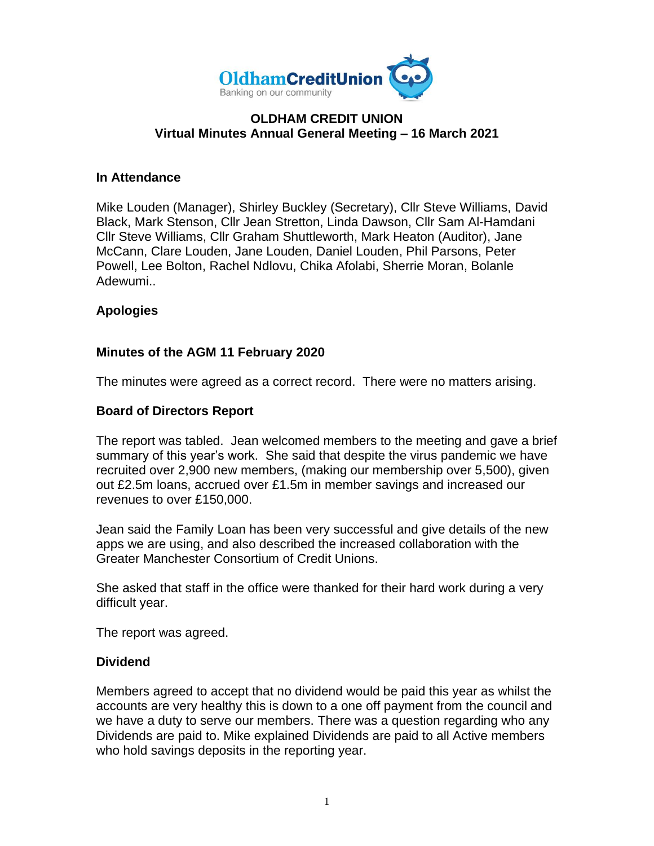

#### **OLDHAM CREDIT UNION Virtual Minutes Annual General Meeting – 16 March 2021**

#### **In Attendance**

Mike Louden (Manager), Shirley Buckley (Secretary), Cllr Steve Williams, David Black, Mark Stenson, Cllr Jean Stretton, Linda Dawson, Cllr Sam Al-Hamdani Cllr Steve Williams, Cllr Graham Shuttleworth, Mark Heaton (Auditor), Jane McCann, Clare Louden, Jane Louden, Daniel Louden, Phil Parsons, Peter Powell, Lee Bolton, Rachel Ndlovu, Chika Afolabi, Sherrie Moran, Bolanle Adewumi..

# **Apologies**

# **Minutes of the AGM 11 February 2020**

The minutes were agreed as a correct record. There were no matters arising.

# **Board of Directors Report**

The report was tabled. Jean welcomed members to the meeting and gave a brief summary of this year's work. She said that despite the virus pandemic we have recruited over 2,900 new members, (making our membership over 5,500), given out £2.5m loans, accrued over £1.5m in member savings and increased our revenues to over £150,000.

Jean said the Family Loan has been very successful and give details of the new apps we are using, and also described the increased collaboration with the Greater Manchester Consortium of Credit Unions.

She asked that staff in the office were thanked for their hard work during a very difficult year.

The report was agreed.

# **Dividend**

Members agreed to accept that no dividend would be paid this year as whilst the accounts are very healthy this is down to a one off payment from the council and we have a duty to serve our members. There was a question regarding who any Dividends are paid to. Mike explained Dividends are paid to all Active members who hold savings deposits in the reporting year.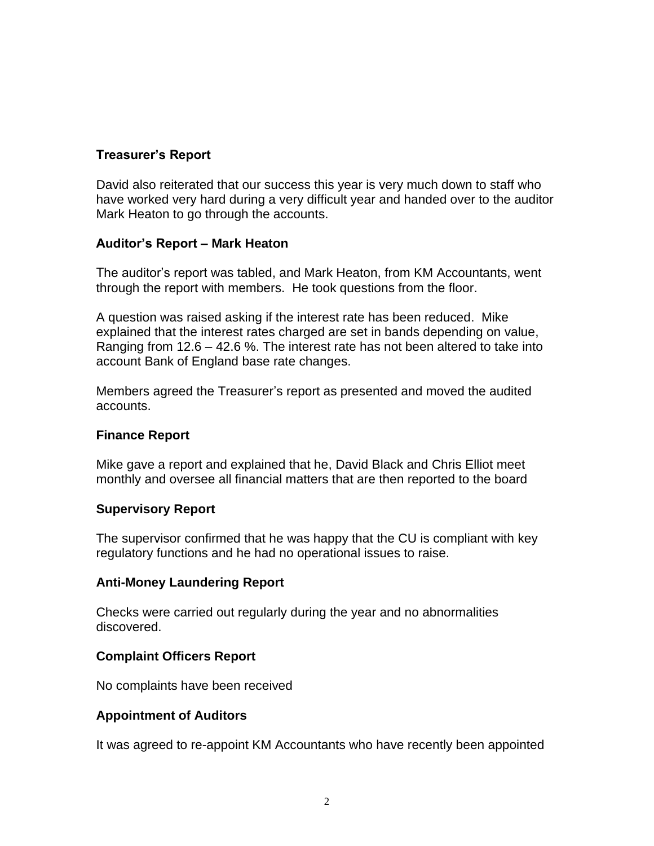# **Treasurer's Report**

David also reiterated that our success this year is very much down to staff who have worked very hard during a very difficult year and handed over to the auditor Mark Heaton to go through the accounts.

# **Auditor's Report – Mark Heaton**

The auditor's report was tabled, and Mark Heaton, from KM Accountants, went through the report with members. He took questions from the floor.

A question was raised asking if the interest rate has been reduced. Mike explained that the interest rates charged are set in bands depending on value, Ranging from 12.6 – 42.6 %. The interest rate has not been altered to take into account Bank of England base rate changes.

Members agreed the Treasurer's report as presented and moved the audited accounts.

# **Finance Report**

Mike gave a report and explained that he, David Black and Chris Elliot meet monthly and oversee all financial matters that are then reported to the board

# **Supervisory Report**

The supervisor confirmed that he was happy that the CU is compliant with key regulatory functions and he had no operational issues to raise.

# **Anti-Money Laundering Report**

Checks were carried out regularly during the year and no abnormalities discovered.

# **Complaint Officers Report**

No complaints have been received

# **Appointment of Auditors**

It was agreed to re-appoint KM Accountants who have recently been appointed